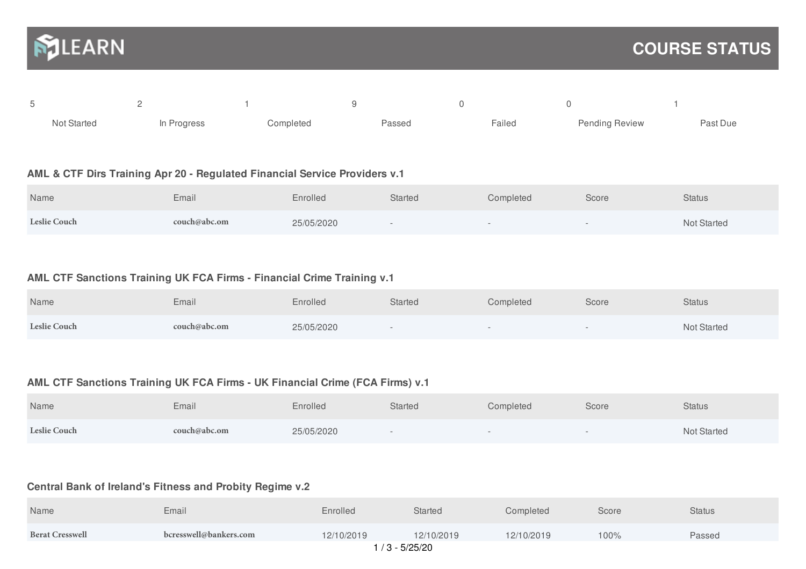

| Not Started | In Progress | Completed | Passed | Failed | <b>Pending Review</b> | Past Due |
|-------------|-------------|-----------|--------|--------|-----------------------|----------|

### **AML & CTF Dirs Training Apr 20 - Regulated Financial Service Providers v.1**

| Name                | Email        | Enrolled   | <b>Started</b> | Completed | Score | <b>Status</b> |
|---------------------|--------------|------------|----------------|-----------|-------|---------------|
| <b>Leslie Couch</b> | couch@abc.om | 25/05/2020 |                |           |       | Not Started   |

### **AML CTF Sanctions Training UK FCA Firms - Financial Crime Training v.1**

| Name                | Email        | Enrolled   | <b>Started</b> | Completed | Score | <b>Status</b>      |
|---------------------|--------------|------------|----------------|-----------|-------|--------------------|
| <b>Leslie Couch</b> | couch@abc.om | 25/05/2020 | $\sim$         | $\sim$    |       | <b>Not Started</b> |

# **AML CTF Sanctions Training UK FCA Firms - UK Financial Crime (FCA Firms) v.1**

| Name                | Email        | Enrolled   | <b>Started</b> | Completed | Score  | <b>Status</b>      |
|---------------------|--------------|------------|----------------|-----------|--------|--------------------|
| <b>Leslie Couch</b> | couch@abc.om | 25/05/2020 |                |           | $\sim$ | <b>Not Started</b> |

# **Central Bank of Ireland's Fitness and Probity Regime v.2**

| Name                   | Email                  | Enrolled   | Started    | Completed  | Score | <b>Status</b> |  |
|------------------------|------------------------|------------|------------|------------|-------|---------------|--|
| <b>Berat Cresswell</b> | bcresswell@bankers.com | 12/10/2019 | 12/10/2019 | 12/10/2019 | 100%  | Passed        |  |
| / 3 - 5/25/20          |                        |            |            |            |       |               |  |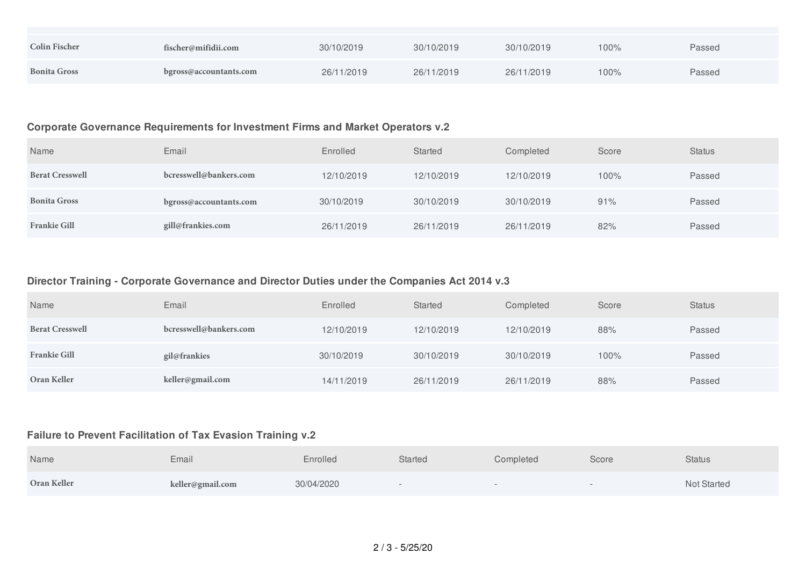| <b>Colin Fischer</b> | fischer@mifidii.com    | 30/10/2019 | 30/10/2019 | 30/10/2019 | 100% | Passed |
|----------------------|------------------------|------------|------------|------------|------|--------|
| <b>Bonita Gross</b>  | bgross@accountants.com | 26/11/2019 | 26/11/2019 | 26/11/2019 | 100% | Passed |

### **Corporate Governance Requirements for Investment Firms and Market Operators v.2**

| Name                   | Email                  | Enrolled   | Started    | Completed  | Score | <b>Status</b> |
|------------------------|------------------------|------------|------------|------------|-------|---------------|
| <b>Berat Cresswell</b> | bcresswell@bankers.com | 12/10/2019 | 12/10/2019 | 12/10/2019 | 100%  | Passed        |
| <b>Bonita Gross</b>    | bgross@accountants.com | 30/10/2019 | 30/10/2019 | 30/10/2019 | 91%   | Passed        |
| <b>Frankie Gill</b>    | gill@frankies.com      | 26/11/2019 | 26/11/2019 | 26/11/2019 | 82%   | Passed        |

## **Director Training - Corporate Governance and Director Duties under the Companies Act 2014 v.3**

| Name                   | Email                  | Enrolled   | Started    | Completed  | Score | <b>Status</b> |
|------------------------|------------------------|------------|------------|------------|-------|---------------|
| <b>Berat Cresswell</b> | bcresswell@bankers.com | 12/10/2019 | 12/10/2019 | 12/10/2019 | 88%   | Passed        |
| <b>Frankie Gill</b>    | gil@frankies           | 30/10/2019 | 30/10/2019 | 30/10/2019 | 100%  | Passed        |
| Oran Keller            | keller@gmail.com       | 14/11/2019 | 26/11/2019 | 26/11/2019 | 88%   | Passed        |

#### **Failure to Prevent Facilitation of Tax Evasion Training v.2**

| Name        | Email            | Enrolled   | <b>Started</b> | Completed | Score | <b>Status</b> |
|-------------|------------------|------------|----------------|-----------|-------|---------------|
| Oran Keller | keller@gmail.com | 30/04/2020 |                |           |       | Not Started   |